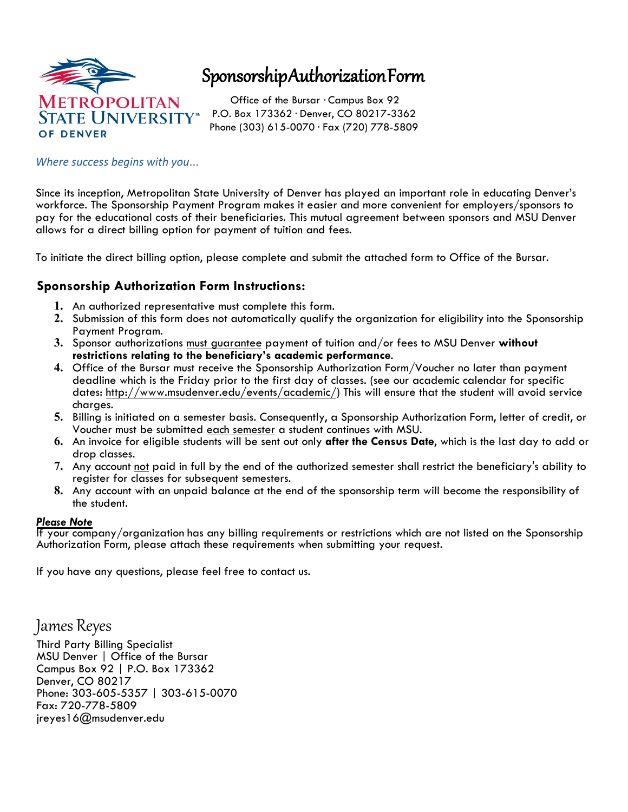

# Sponsorship Authorization Form

Office of the Bursar · Campus Box 92 P.O. Box 173362 · Denver, CO 80217-3362 Phone (303) 615-0070 · Fax (720) 778-5809

#### *Where success begins with you*...

Since its inception, Metropolitan State University of Denver has played an important role in educating Denver's workforce. The Sponsorship Payment Program makes it easier and more convenient for employers/sponsors to pay for the educational costs of their beneficiaries. This mutual agreement between sponsors and MSU Denver allows for a direct billing option for payment of tuition and fees.

To initiate the direct billing option, please complete and submit the attached form to Office of the Bursar.

### **Sponsorship Authorization Form Instructions:**

- **1.** An authorized representative must complete this form.
- **2.** Submission of this form does not automatically qualify the organization for eligibility into the Sponsorship Payment Program.
- **3.** Sponsor authorizations must guarantee payment of tuition and/or fees to MSU Denver **without restrictions relating to the beneficiary's academic performance**.
- **4.** Office of the Bursar must receive the Sponsorship Authorization Form/Voucher no later than payment deadline which is the Friday prior to the first day of classes. (see our academic calendar for specific dates: http://www.msudenver.edu/events/academic/) This will ensure that the student will avoid service charges.
- **5.** Billing is initiated on a semester basis. Consequently, a Sponsorship Authorization Form, letter of credit, or Voucher must be submitted each semester a student continues with MSU.
- **6.** An invoice for eligible students will be sent out only **after the Census Date**, which is the last day to add or drop classes.
- **7.** Any account not paid in full by the end of the authorized semester shall restrict the beneficiary's ability to register for classes for subsequent semesters.
- **8.** Any account with an unpaid balance at the end of the sponsorship term will become the responsibility of the student.

#### *Please Note*

If your company/organization has any billing requirements or restrictions which are not listed on the Sponsorship Authorization Form, please attach these requirements when submitting your request.

If you have any questions, please feel free to contact us.

James Reyes

Third Party Billing Specialist MSU Denver | Office of the Bursar Campus Box 92 | P.O. Box 173362 Denver, CO 80217 Phone: 303-605-5357 | 303-615-0070 Fax: 720-778-5809 jreyes16@msudenver.edu